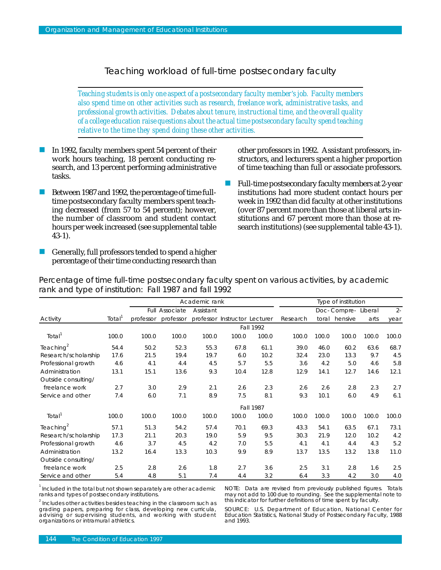## Teaching workload of full-time postsecondary faculty

*Teaching students is only one aspect of a postsecondary faculty member*'*s job. Faculty members also spend time on other activities such as research, freelance work, administrative tasks, and professional growth activities. Debates about tenure, instructional time, and the overall quality of a college education raise questions about the actual time postsecondary faculty spend teaching relative to the time they spend doing these other activities.*

- n In 1992, faculty members spent 54 percent of their work hours teaching, 18 percent conducting research, and 13 percent performing administrative tasks.
- n Between 1987 and 1992, the percentage of time fulltime postsecondary faculty members spent teaching decreased (from 57 to 54 percent); however, the number of classroom and student contact hours per week increased (see supplemental table 43-1).

other professors in 1992. Assistant professors, instructors, and lecturers spent a higher proportion of time teaching than full or associate professors.

- Full-time postsecondary faculty members at 2-year institutions had more student contact hours per week in 1992 than did faculty at other institutions (over 87 percent more than those at liberal arts institutions and 67 percent more than those at research institutions) (see supplemental table 43-1).
- n Generally, full professors tended to spend a higher percentage of their time conducting research than

|                      |       | Academic rank |                       |           |                               |                  |          | Type of institution |                    |       |       |
|----------------------|-------|---------------|-----------------------|-----------|-------------------------------|------------------|----------|---------------------|--------------------|-------|-------|
|                      |       |               | <b>Full Associate</b> | Assistant |                               |                  |          |                     | Doc-Compre-Liberal |       | $2 -$ |
| Activity             | Total | professor     | professor             |           | professor Instructor Lecturer |                  | Research |                     | toral hensive      | arts  | year  |
|                      |       |               |                       |           |                               | <b>Fall 1992</b> |          |                     |                    |       |       |
| Total <sup>1</sup>   | 100.0 | 100.0         | 100.0                 | 100.0     | 100.0                         | 100.0            | 100.0    | 100.0               | 100.0              | 100.0 | 100.0 |
| Teaching $^2$        | 54.4  | 50.2          | 52.3                  | 55.3      | 67.8                          | 61.1             | 39.0     | 46.0                | 60.2               | 63.6  | 68.7  |
| Research/scholarship | 17.6  | 21.5          | 19.4                  | 19.7      | 6.0                           | 10.2             | 32.4     | 23.0                | 13.3               | 9.7   | 4.5   |
| Professional growth  | 4.6   | 4.1           | 4.4                   | 4.5       | 5.7                           | 5.5              | 3.6      | 4.2                 | 5.0                | 4.6   | 5.8   |
| Administration       | 13.1  | 15.1          | 13.6                  | 9.3       | 10.4                          | 12.8             | 12.9     | 14.1                | 12.7               | 14.6  | 12.1  |
| Outside consulting/  |       |               |                       |           |                               |                  |          |                     |                    |       |       |
| freelance work       | 2.7   | 3.0           | 2.9                   | 2.1       | 2.6                           | 2.3              | 2.6      | 2.6                 | 2.8                | 2.3   | 2.7   |
| Service and other    | 7.4   | 6.0           | 7.1                   | 8.9       | 7.5                           | 8.1              | 9.3      | 10.1                | 6.0                | 4.9   | 6.1   |
|                      |       |               |                       |           |                               | <b>Fall 1987</b> |          |                     |                    |       |       |
| Total <sup>1</sup>   | 100.0 | 100.0         | 100.0                 | 100.0     | 100.0                         | 100.0            | 100.0    | 100.0               | 100.0              | 100.0 | 100.0 |
| Teaching $^{2}$      | 57.1  | 51.3          | 54.2                  | 57.4      | 70.1                          | 69.3             | 43.3     | 54.1                | 63.5               | 67.1  | 73.1  |
| Research/scholarship | 17.3  | 21.1          | 20.3                  | 19.0      | 5.9                           | 9.5              | 30.3     | 21.9                | 12.0               | 10.2  | 4.2   |
| Professional growth  | 4.6   | 3.7           | 4.5                   | 4.2       | 7.0                           | 5.5              | 4.1      | 4.1                 | 4.4                | 4.3   | 5.2   |
| Administration       | 13.2  | 16.4          | 13.3                  | 10.3      | 9.9                           | 8.9              | 13.7     | 13.5                | 13.2               | 13.8  | 11.0  |
| Outside consulting/  |       |               |                       |           |                               |                  |          |                     |                    |       |       |
| freelance work       | 2.5   | 2.8           | 2.6                   | 1.8       | 2.7                           | 3.6              | 2.5      | 3.1                 | 2.8                | 1.6   | 2.5   |
| Service and other    | 5.4   | 4.8           | 5.1                   | 7.4       | 4.4                           | 3.2              | 6.4      | 3.3                 | 4.2                | 3.0   | 4.0   |

Percentage of time full-time postsecondary faculty spent on various activities, by academic rank and type of institution: Fall 1987 and fall 1992

 $1$  Included in the total but not shown separately are other academic ranks and types of postsecondary institutions.

 $2$  Includes other activities besides teaching in the classroom such as grading papers, preparing for class, developing new curricula, advising or supervising students, and working with student organizations or intramural athletics.

NOTE: Data are revised from previously published figures. Totals may not add to 100 due to rounding. See the supplemental note to this indicator for further definitions of time spent by faculty.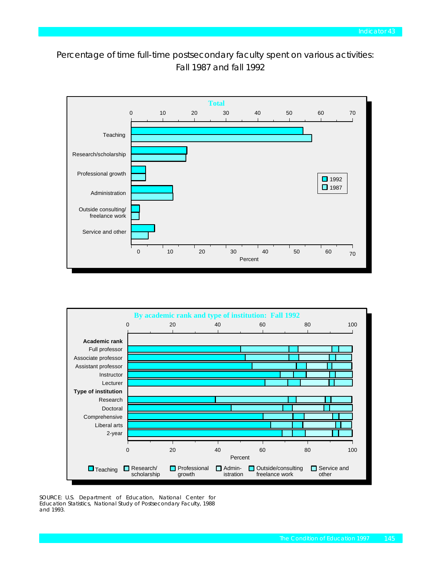# Percentage of time full-time postsecondary faculty spent on various activities: Fall 1987 and fall 1992



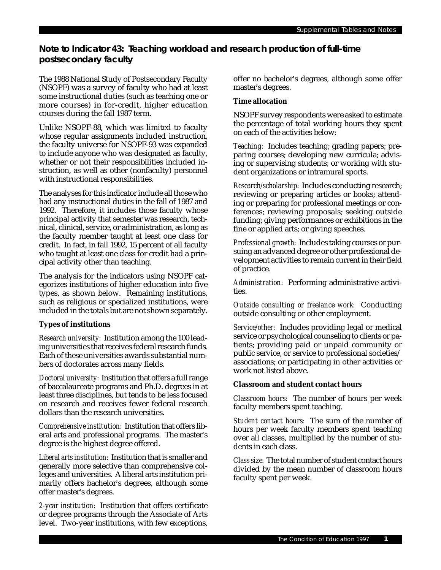# **Note to Indicator 43: Teaching workload and research production of full-time postsecondary faculty**

The 1988 National Study of Postsecondary Faculty (NSOPF) was a survey of faculty who had at least some instructional duties (such as teaching one or more courses) in for-credit, higher education courses during the fall 1987 term.

Unlike NSOPF-88, which was limited to faculty whose regular assignments included instruction, the faculty universe for NSOPF-93 was expanded to include anyone who was designated as faculty, whether or not their responsibilities included instruction, as well as other (nonfaculty) personnel with instructional responsibilities.

The analyses for this indicator include all those who had any instructional duties in the fall of 1987 and 1992. Therefore, it includes those faculty whose principal activity that semester was research, technical, clinical, service, or administration, as long as the faculty member taught at least one class for credit. In fact, in fall 1992, 15 percent of all faculty who taught at least one class for credit had a principal activity other than teaching.

The analysis for the indicators using NSOPF categorizes institutions of higher education into five types, as shown below. Remaining institutions, such as religious or specialized institutions, were included in the totals but are not shown separately.

## **Types of institutions**

*Research university:* Institution among the 100 leading universities that receives federal research funds. Each of these universities awards substantial numbers of doctorates across many fields.

*Doctoral university:* Institution that offers a full range of baccalaureate programs and Ph.D. degrees in at least three disciplines, but tends to be less focused on research and receives fewer federal research dollars than the research universities.

*Comprehensive institution:* Institution that offers liberal arts and professional programs. The master's degree is the highest degree offered.

*Liberal arts institution:* Institution that is smaller and generally more selective than comprehensive colleges and universities. A liberal arts institution primarily offers bachelor's degrees, although some offer master's degrees.

*2-year institution:* Institution that offers certificate or degree programs through the Associate of Arts level. Two-year institutions, with few exceptions, offer no bachelor's degrees, although some offer master's degrees.

## **Time allocation**

NSOPF survey respondents were asked to estimate the percentage of total working hours they spent on each of the activities below:

*Teaching:* Includes teaching; grading papers; preparing courses; developing new curricula; advising or supervising students; or working with student organizations or intramural sports.

*Research/scholarship:* Includes conducting research; reviewing or preparing articles or books; attending or preparing for professional meetings or conferences; reviewing proposals; seeking outside funding; giving performances or exhibitions in the fine or applied arts; or giving speeches.

*Professional growth:* Includes taking courses or pursuing an advanced degree or other professional development activities to remain current in their field of practice.

*Administration:* Performing administrative activities.

*Outside consulting or freelance work:* Conducting outside consulting or other employment.

*Service/other:* Includes providing legal or medical service or psychological counseling to clients or patients; providing paid or unpaid community or public service, or service to professional societies/ associations; or participating in other activities or work not listed above.

### **Classroom and student contact hours**

*Classroom hours:* The number of hours per week faculty members spent teaching.

*Student contact hours:* The sum of the number of hours per week faculty members spent teaching over all classes, multiplied by the number of students in each class.

*Class size:* The total number of student contact hours divided by the mean number of classroom hours faculty spent per week.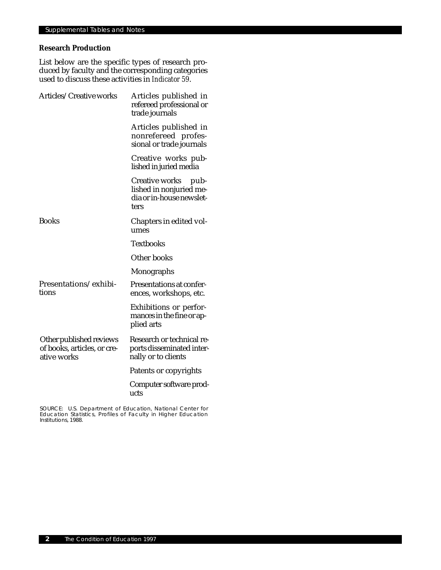#### **Research Production**

List below are the specific types of research produced by faculty and the corresponding categories used to discuss these activities in *Indicator 59*.

| Articles/Creative works                                               | Articles published in<br>refereed professional or<br>trade journals                   |  |  |  |  |
|-----------------------------------------------------------------------|---------------------------------------------------------------------------------------|--|--|--|--|
|                                                                       | Articles published in<br>nonrefereed profes-<br>sional or trade journals              |  |  |  |  |
|                                                                       | Creative works pub-<br>lished in juried media                                         |  |  |  |  |
|                                                                       | Creative works<br>pub-<br>lished in nonjuried me-<br>dia or in-house newslet-<br>ters |  |  |  |  |
| Books                                                                 | Chapters in edited vol-<br>umes                                                       |  |  |  |  |
|                                                                       | <b>Textbooks</b>                                                                      |  |  |  |  |
|                                                                       | Other books                                                                           |  |  |  |  |
|                                                                       | Monographs                                                                            |  |  |  |  |
| Presentations/exhibi-<br>tions                                        | Presentations at confer-<br>ences, workshops, etc.                                    |  |  |  |  |
|                                                                       | Exhibitions or perfor-<br>mances in the fine or ap-<br>plied arts                     |  |  |  |  |
| Other published reviews<br>of books, articles, or cre-<br>ative works | Research or technical re-<br>ports disseminated inter-<br>nally or to clients         |  |  |  |  |
|                                                                       | Patents or copyrights                                                                 |  |  |  |  |
|                                                                       | Computer software prod-<br>ucts                                                       |  |  |  |  |

SOURCE: U.S. Department of Education, National Center for Education Statistics, *Profiles of Faculty in Higher Education Institutions*, 1988.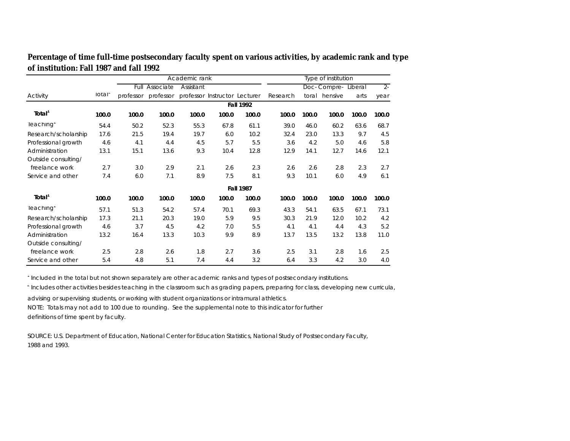|                       |        | Academic rank |                |                               |       |                  | Type of institution |       |                    |       |                |
|-----------------------|--------|---------------|----------------|-------------------------------|-------|------------------|---------------------|-------|--------------------|-------|----------------|
|                       |        |               | Full Associate | Assistant                     |       |                  |                     |       | Doc-Compre-Liberal |       | $\overline{2}$ |
| Activity              | lotal' | professor     | professor      | professor Instructor Lecturer |       |                  | Research            | toral | hensive            | arts  | year           |
|                       |        |               |                |                               |       | <b>Fall 1992</b> |                     |       |                    |       |                |
| Total <sup>1</sup>    | 100.0  | 100.0         | 100.0          | 100.0                         | 100.0 | 100.0            | 100.0               | 100.0 | 100.0              | 100.0 | 100.0          |
| Teaching <sup>2</sup> | 54.4   | 50.2          | 52.3           | 55.3                          | 67.8  | 61.1             | 39.0                | 46.0  | 60.2               | 63.6  | 68.7           |
| Research/scholarship  | 17.6   | 21.5          | 19.4           | 19.7                          | 6.0   | 10.2             | 32.4                | 23.0  | 13.3               | 9.7   | 4.5            |
| Professional growth   | 4.6    | 4.1           | 4.4            | 4.5                           | 5.7   | 5.5              | 3.6                 | 4.2   | 5.0                | 4.6   | 5.8            |
| Administration        | 13.1   | 15.1          | 13.6           | 9.3                           | 10.4  | 12.8             | 12.9                | 14.1  | 12.7               | 14.6  | 12.1           |
| Outside consulting/   |        |               |                |                               |       |                  |                     |       |                    |       |                |
| freelance work        | 2.7    | 3.0           | 2.9            | 2.1                           | 2.6   | 2.3              | 2.6                 | 2.6   | 2.8                | 2.3   | 2.7            |
| Service and other     | 7.4    | 6.0           | 7.1            | 8.9                           | 7.5   | 8.1              | 9.3                 | 10.1  | 6.0                | 4.9   | 6.1            |
|                       |        |               |                |                               |       | <b>Fall 1987</b> |                     |       |                    |       |                |
| Total <sup>1</sup>    | 100.0  | 100.0         | 100.0          | 100.0                         | 100.0 | 100.0            | 100.0               | 100.0 | 100.0              | 100.0 | 100.0          |
| Teaching <sup>4</sup> | 57.1   | 51.3          | 54.2           | 57.4                          | 70.1  | 69.3             | 43.3                | 54.1  | 63.5               | 67.1  | 73.1           |
| Research/scholarship  | 17.3   | 21.1          | 20.3           | 19.0                          | 5.9   | 9.5              | 30.3                | 21.9  | 12.0               | 10.2  | 4.2            |
| Professional growth   | 4.6    | 3.7           | 4.5            | 4.2                           | 7.0   | 5.5              | 4.1                 | 4.1   | 4.4                | 4.3   | 5.2            |
| Administration        | 13.2   | 16.4          | 13.3           | 10.3                          | 9.9   | 8.9              | 13.7                | 13.5  | 13.2               | 13.8  | 11.0           |
| Outside consulting/   |        |               |                |                               |       |                  |                     |       |                    |       |                |
| freelance work        | 2.5    | 2.8           | 2.6            | 1.8                           | 2.7   | 3.6              | 2.5                 | 3.1   | 2.8                | 1.6   | 2.5            |
| Service and other     | 5.4    | 4.8           | 5.1            | 7.4                           | 4.4   | 3.2              | 6.4                 | 3.3   | 4.2                | 3.0   | 4.0            |

# **Percentage of time full-time postsecondary faculty spent on various activities, by academic rank and type of institution: Fall 1987 and fall 1992**

1 Included in the total but not shown separately are other academic ranks and types of postsecondary institutions.

2 Includes other activities besides teaching in the classroom such as grading papers, preparing for class, developing new curricula,

advising or supervising students, or working with student organizations or intramural athletics.

NOTE: Totals may not add to 100 due to rounding. See the supplemental note to this indicator for further definitions of time spent by faculty.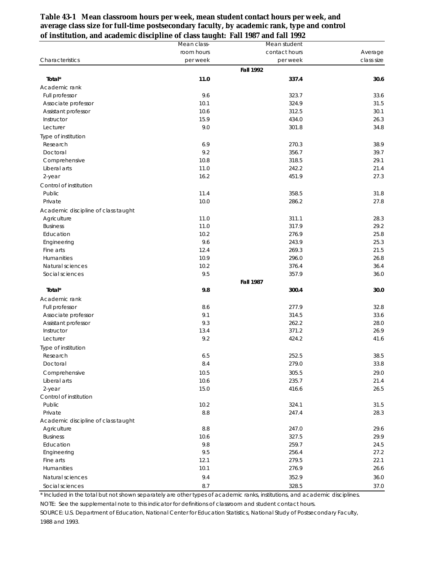|                                     | Mean class- | Mean student              |              |
|-------------------------------------|-------------|---------------------------|--------------|
|                                     | room hours  | contact hours             | Average      |
| Characteristics                     | per week    | per week                  | class size   |
|                                     |             | <b>Fall 1992</b>          |              |
| Total*                              | 11.0        | 337.4                     | 30.6         |
| Academic rank                       |             |                           |              |
| Full professor                      | 9.6         | 323.7                     | 33.6         |
| Associate professor                 | 10.1        | 324.9                     | 31.5         |
| Assistant professor                 | 10.6        | 312.5                     | 30.1         |
| Instructor                          | 15.9        | 434.0                     | 26.3         |
| Lecturer                            | 9.0         | 301.8                     | 34.8         |
| Type of institution                 |             |                           |              |
| Research                            | 6.9         | 270.3                     | 38.9         |
| Doctoral                            | 9.2         | 356.7                     | 39.7         |
| Comprehensive                       | 10.8        | 318.5                     | 29.1         |
| Liberal arts                        | 11.0        | 242.2                     | 21.4         |
| 2-year                              | 16.2        | 451.9                     | 27.3         |
|                                     |             |                           |              |
| Control of institution              |             |                           |              |
| Public                              | 11.4        | 358.5                     | 31.8         |
| Private                             | 10.0        | 286.2                     | 27.8         |
| Academic discipline of class taught |             |                           |              |
| Agriculture                         | 11.0        | 311.1                     | 28.3         |
| <b>Business</b>                     | 11.0        | 317.9                     | 29.2         |
| Education                           | 10.2        | 276.9                     | 25.8         |
| Engineering                         | 9.6         | 243.9                     | 25.3         |
| Fine arts                           | 12.4        | 269.3                     | 21.5         |
| Humanities                          | 10.9        | 296.0                     | 26.8         |
| Natural sciences                    | 10.2        | 376.4                     | 36.4         |
| Social sciences                     | 9.5         | 357.9                     | 36.0         |
| Total*                              | 9.8         | <b>Fall 1987</b><br>300.4 | 30.0         |
|                                     |             |                           |              |
| Academic rank                       | 8.6         | 277.9                     | 32.8         |
| Full professor                      | 9.1         | 314.5                     | 33.6         |
| Associate professor                 |             |                           |              |
| Assistant professor                 | 9.3<br>13.4 | 262.2<br>371.2            | 28.0<br>26.9 |
| Instructor                          | 9.2         | 424.2                     | 41.6         |
| Lecturer                            |             |                           |              |
| Type of institution                 |             |                           |              |
| Research                            | 6.5         | 252.5                     | 38.5         |
| Doctoral                            | 8.4         | 279.0                     | 33.8         |
| Comprehensive                       | 10.5        | 305.5                     | 29.0         |
| Liberal arts                        | 10.6        | 235.7                     | 21.4         |
| 2-year                              | 15.0        | 416.6                     | 26.5         |
| Control of institution              |             |                           |              |
| Public                              | 10.2        | 324.1                     | 31.5         |
| Private                             | 8.8         | 247.4                     | 28.3         |
| Academic discipline of class taught |             |                           |              |
| Agriculture                         | 8.8         | 247.0                     | 29.6         |
| <b>Business</b>                     | 10.6        | 327.5                     | 29.9         |
| Education                           | 9.8         | 259.7                     | 24.5         |
| Engineering                         | 9.5         | 256.4                     | 27.2         |
| Fine arts                           | 12.1        | 279.5                     | 22.1         |
| <b>Humanities</b>                   | 10.1        | 276.9                     | 26.6         |
| Natural sciences                    | 9.4         | 352.9                     | 36.0         |
| Social sciences                     | 8.7         | 328.5                     | 37.0         |

## **Table 43-1 Mean classroom hours per week, mean student contact hours per week, and average class size for full-time postsecondary faculty, by academic rank, type and control of institution, and academic discipline of class taught: Fall 1987 and fall 1992**

\* Included in the total but not shown separately are other types of academic ranks, institutions, and academic disciplines.

NOTE: See the supplemental note to this indicator for definitions of classroom and student contact hours.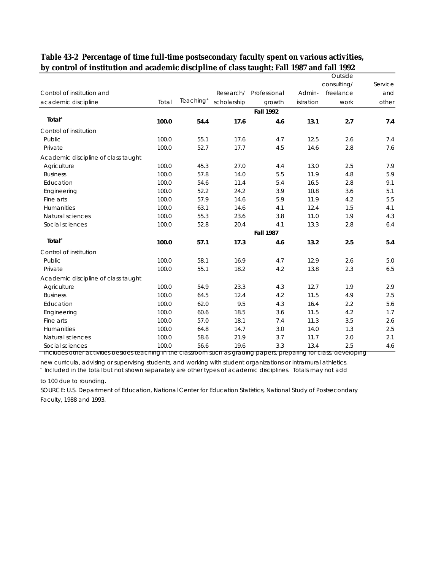|                                                                                                                                        |       |           |             |                  |           | Outside     |         |
|----------------------------------------------------------------------------------------------------------------------------------------|-------|-----------|-------------|------------------|-----------|-------------|---------|
|                                                                                                                                        |       |           |             |                  |           | consulting/ | Service |
| Control of institution and                                                                                                             |       |           | Research/   | Professional     | Admin-    | freelance   | and     |
| academic discipline                                                                                                                    | Total | Teaching' | scholarship | growth           | istration | work        | other   |
|                                                                                                                                        |       |           |             | <b>Fall 1992</b> |           |             |         |
| Total <sup>2</sup>                                                                                                                     | 100.0 | 54.4      | 17.6        | 4.6              | 13.1      | 2.7         | 7.4     |
| Control of institution                                                                                                                 |       |           |             |                  |           |             |         |
| Public                                                                                                                                 | 100.0 | 55.1      | 17.6        | 4.7              | 12.5      | 2.6         | 7.4     |
| Private                                                                                                                                | 100.0 | 52.7      | 17.7        | 4.5              | 14.6      | 2.8         | 7.6     |
| Academic discipline of class taught                                                                                                    |       |           |             |                  |           |             |         |
| Agriculture                                                                                                                            | 100.0 | 45.3      | 27.0        | 4.4              | 13.0      | 2.5         | 7.9     |
| <b>Business</b>                                                                                                                        | 100.0 | 57.8      | 14.0        | 5.5              | 11.9      | 4.8         | 5.9     |
| Education                                                                                                                              | 100.0 | 54.6      | 11.4        | 5.4              | 16.5      | 2.8         | 9.1     |
| Engineering                                                                                                                            | 100.0 | 52.2      | 24.2        | 3.9              | 10.8      | 3.6         | 5.1     |
| Fine arts                                                                                                                              | 100.0 | 57.9      | 14.6        | 5.9              | 11.9      | 4.2         | 5.5     |
| Humanities                                                                                                                             | 100.0 | 63.1      | 14.6        | 4.1              | 12.4      | 1.5         | 4.1     |
| Natural sciences                                                                                                                       | 100.0 | 55.3      | 23.6        | 3.8              | 11.0      | 1.9         | 4.3     |
| Social sciences                                                                                                                        | 100.0 | 52.8      | 20.4        | 4.1              | 13.3      | 2.8         | 6.4     |
|                                                                                                                                        |       |           |             | <b>Fall 1987</b> |           |             |         |
| Total <sup>2</sup>                                                                                                                     | 100.0 | 57.1      | 17.3        | 4.6              | 13.2      | 2.5         | 5.4     |
| Control of institution                                                                                                                 |       |           |             |                  |           |             |         |
| Public                                                                                                                                 | 100.0 | 58.1      | 16.9        | 4.7              | 12.9      | 2.6         | 5.0     |
| Private                                                                                                                                | 100.0 | 55.1      | 18.2        | 4.2              | 13.8      | 2.3         | 6.5     |
| Academic discipline of class taught                                                                                                    |       |           |             |                  |           |             |         |
| Agriculture                                                                                                                            | 100.0 | 54.9      | 23.3        | 4.3              | 12.7      | 1.9         | 2.9     |
| <b>Business</b>                                                                                                                        | 100.0 | 64.5      | 12.4        | 4.2              | 11.5      | 4.9         | 2.5     |
| Education                                                                                                                              | 100.0 | 62.0      | 9.5         | 4.3              | 16.4      | 2.2         | 5.6     |
| Engineering                                                                                                                            | 100.0 | 60.6      | 18.5        | 3.6              | 11.5      | 4.2         | 1.7     |
| Fine arts                                                                                                                              | 100.0 | 57.0      | 18.1        | 7.4              | 11.3      | 3.5         | 2.6     |
| Humanities                                                                                                                             | 100.0 | 64.8      | 14.7        | 3.0              | 14.0      | 1.3         | 2.5     |
| Natural sciences                                                                                                                       | 100.0 | 58.6      | 21.9        | 3.7              | 11.7      | 2.0         | 2.1     |
| Social sciences<br>includes other activities besides teaching in the classroom such as grading papers, preparing for class, developing | 100.0 | 56.6      | 19.6        | 3.3              | 13.4      | 2.5         | 4.6     |

# **Table 43-2 Percentage of time full-time postsecondary faculty spent on various activities, by control of institution and academic discipline of class taught: Fall 1987 and fall 1992**

new curricula, advising or supervising students, and working with student organizations or intramural athletics.

<sup>2</sup>Included in the total but not shown separately are other types of academic disciplines. Totals may not add

to 100 due to rounding.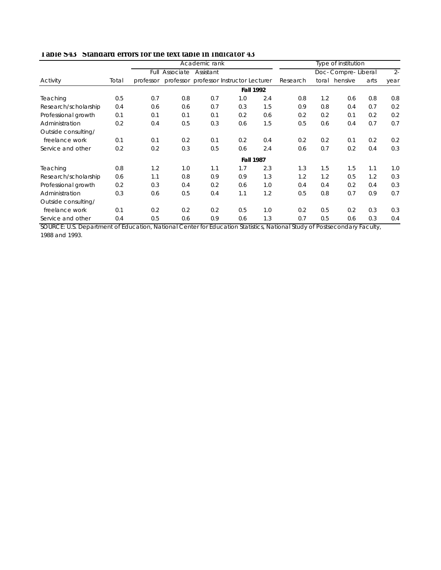|                      |       |           |           | Academic rank                           |     |                  |          |       | Type of institution |      |                |
|----------------------|-------|-----------|-----------|-----------------------------------------|-----|------------------|----------|-------|---------------------|------|----------------|
|                      |       | Full      | Associate | Assistant                               |     |                  |          |       | Doc-Compre-Liberal  |      | $\overline{2}$ |
| Activity             | Total | professor |           | professor professor Instructor Lecturer |     |                  | Research | toral | hensive             | arts | year           |
|                      |       |           |           |                                         |     | <b>Fall 1992</b> |          |       |                     |      |                |
| Teaching             | 0.5   | 0.7       | 0.8       | 0.7                                     | 1.0 | 2.4              | 0.8      | 1.2   | 0.6                 | 0.8  | 0.8            |
| Research/scholarship | 0.4   | 0.6       | 0.6       | 0.7                                     | 0.3 | 1.5              | 0.9      | 0.8   | 0.4                 | 0.7  | 0.2            |
| Professional growth  | 0.1   | 0.1       | 0.1       | 0.1                                     | 0.2 | 0.6              | 0.2      | 0.2   | 0.1                 | 0.2  | 0.2            |
| Administration       | 0.2   | 0.4       | 0.5       | 0.3                                     | 0.6 | 1.5              | 0.5      | 0.6   | 0.4                 | 0.7  | 0.7            |
| Outside consulting/  |       |           |           |                                         |     |                  |          |       |                     |      |                |
| freelance work       | 0.1   | 0.1       | 0.2       | 0.1                                     | 0.2 | 0.4              | 0.2      | 0.2   | 0.1                 | 0.2  | 0.2            |
| Service and other    | 0.2   | 0.2       | 0.3       | 0.5                                     | 0.6 | 2.4              | 0.6      | 0.7   | 0.2                 | 0.4  | 0.3            |
|                      |       |           |           |                                         |     | <b>Fall 1987</b> |          |       |                     |      |                |
| Teaching             | 0.8   | 1.2       | 1.0       | 1.1                                     | 1.7 | 2.3              | 1.3      | 1.5   | 1.5                 | 1.1  | 1.0            |
| Research/scholarship | 0.6   | 1.1       | 0.8       | 0.9                                     | 0.9 | 1.3              | 1.2      | 1.2   | 0.5                 | 1.2  | 0.3            |
| Professional growth  | 0.2   | 0.3       | 0.4       | 0.2                                     | 0.6 | 1.0              | 0.4      | 0.4   | 0.2                 | 0.4  | 0.3            |
| Administration       | 0.3   | 0.6       | 0.5       | 0.4                                     | 1.1 | 1.2              | 0.5      | 0.8   | 0.7                 | 0.9  | 0.7            |
| Outside consulting/  |       |           |           |                                         |     |                  |          |       |                     |      |                |
| freelance work       | 0.1   | 0.2       | 0.2       | 0.2                                     | 0.5 | 1.0              | 0.2      | 0.5   | 0.2                 | 0.3  | 0.3            |
| Service and other    | 0.4   | 0.5       | 0.6       | 0.9                                     | 0.6 | 1.3              | 0.7      | 0.5   | 0.6                 | 0.3  | 0.4            |

#### **Table S43 Standard errors for the text table in** *Indicator 43*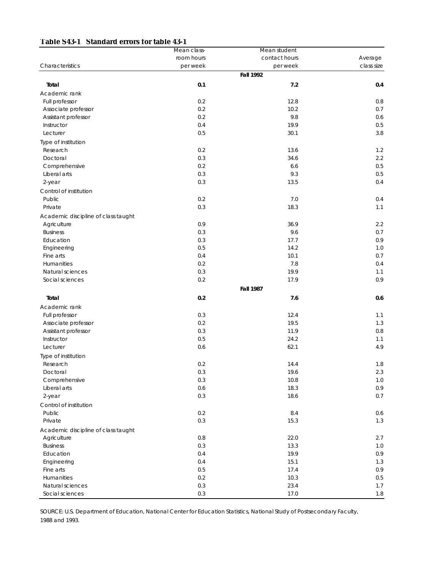#### **Table S43-1 Standard errors for table 43-1**

|                                     | Mean class- | Mean student     |            |  |  |
|-------------------------------------|-------------|------------------|------------|--|--|
|                                     | room hours  | contact hours    | Average    |  |  |
| Characteristics                     | per week    | per week         | class size |  |  |
|                                     |             | <b>Fall 1992</b> |            |  |  |
| Total                               | 0.1         | 7.2              | 0.4        |  |  |
| Academic rank                       |             |                  |            |  |  |
| Full professor                      | 0.2         | 12.8             | 0.8        |  |  |
| Associate professor                 | 0.2         | 10.2             | 0.7        |  |  |
| Assistant professor                 | 0.2         | 9.8              | 0.6        |  |  |
| Instructor                          | 0.4         | 19.9             | 0.5        |  |  |
| Lecturer                            | 0.5         | 30.1             | 3.8        |  |  |
| Type of institution                 |             |                  |            |  |  |
| Research                            | 0.2         | 13.6             | 1.2        |  |  |
| Doctoral                            | 0.3         | 34.6             | 2.2        |  |  |
| Comprehensive                       | 0.2         | 6.6              | 0.5        |  |  |
| Liberal arts                        | 0.3         | 9.3              | 0.5        |  |  |
| 2-year                              | 0.3         | 13.5             | 0.4        |  |  |
|                                     |             |                  |            |  |  |
| Control of institution<br>Public    | 0.2         | 7.0              | 0.4        |  |  |
|                                     |             |                  |            |  |  |
| Private                             | 0.3         | 18.3             | 1.1        |  |  |
| Academic discipline of class taught |             |                  |            |  |  |
| Agriculture                         | 0.9         | 36.9             | 2.2        |  |  |
| <b>Business</b>                     | 0.3         | 9.6              | 0.7        |  |  |
| Education                           | 0.3         | 17.7             | 0.9        |  |  |
| Engineering                         | 0.5         | 14.2             | 1.0        |  |  |
| Fine arts                           | 0.4         | 10.1             | 0.7        |  |  |
| Humanities                          | 0.2         | 7.8              | 0.4        |  |  |
| Natural sciences                    | 0.3         | 19.9             | 1.1        |  |  |
| Social sciences                     | 0.2         | 17.9             | 0.9        |  |  |
|                                     |             | <b>Fall 1987</b> |            |  |  |
| Total                               | 0.2         | 7.6              | 0.6        |  |  |
| Academic rank                       |             |                  |            |  |  |
| Full professor                      | 0.3         | 12.4             | 1.1        |  |  |
| Associate professor                 | 0.2         | 19.5             | 1.3        |  |  |
| Assistant professor                 | 0.3         | 11.9             | $0.8\,$    |  |  |
| Instructor                          | 0.5         | 24.2             | 1.1        |  |  |
| Lecturer                            | 0.6         | 62.1             | 4.9        |  |  |
| Type of institution                 |             |                  |            |  |  |
| Research                            | 0.2         | 14.4             | 1.8        |  |  |
| Doctoral                            | 0.3         | 19.6             | 2.3        |  |  |
| Comprehensive                       | 0.3         | 10.8             | 1.0        |  |  |
| Liberal arts                        | $0.6\,$     | 18.3             | 0.9        |  |  |
| 2-year                              | $0.3\,$     | 18.6             | 0.7        |  |  |
| Control of institution              |             |                  |            |  |  |
| Public                              | $0.2\,$     | 8.4              | 0.6        |  |  |
| Private                             | 0.3         | 15.3             | 1.3        |  |  |
|                                     |             |                  |            |  |  |
| Academic discipline of class taught | $0.8\,$     | 22.0             | 2.7        |  |  |
| Agriculture<br><b>Business</b>      | 0.3         | 13.3             | 1.0        |  |  |
|                                     |             |                  |            |  |  |
| Education                           | 0.4         | 19.9             | 0.9        |  |  |
| Engineering                         | $0.4\,$     | 15.1             | 1.3        |  |  |
| Fine arts                           | $0.5\,$     | 17.4             | 0.9        |  |  |
| Humanities                          | 0.2         | 10.3             | 0.5        |  |  |
| Natural sciences                    | 0.3         | 23.4             | 1.7        |  |  |
| Social sciences                     | 0.3         | 17.0             | $1.8\,$    |  |  |